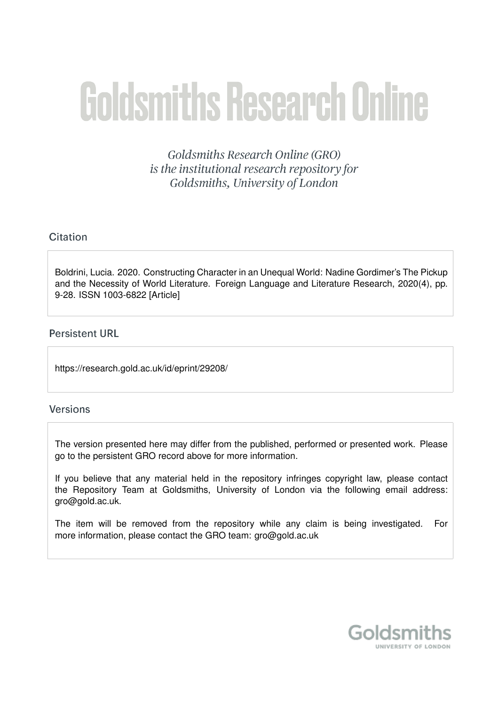# **Goldsmiths Research Online**

Goldsmiths Research Online (GRO) is the institutional research repository for Goldsmiths, University of London

# Citation

Boldrini, Lucia. 2020. Constructing Character in an Unequal World: Nadine Gordimer's The Pickup and the Necessity of World Literature. Foreign Language and Literature Research, 2020(4), pp. 9-28. ISSN 1003-6822 [Article]

## **Persistent URL**

https://research.gold.ac.uk/id/eprint/29208/

## **Versions**

The version presented here may differ from the published, performed or presented work. Please go to the persistent GRO record above for more information.

If you believe that any material held in the repository infringes copyright law, please contact the Repository Team at Goldsmiths, University of London via the following email address: gro@gold.ac.uk.

The item will be removed from the repository while any claim is being investigated. For more information, please contact the GRO team: gro@gold.ac.uk

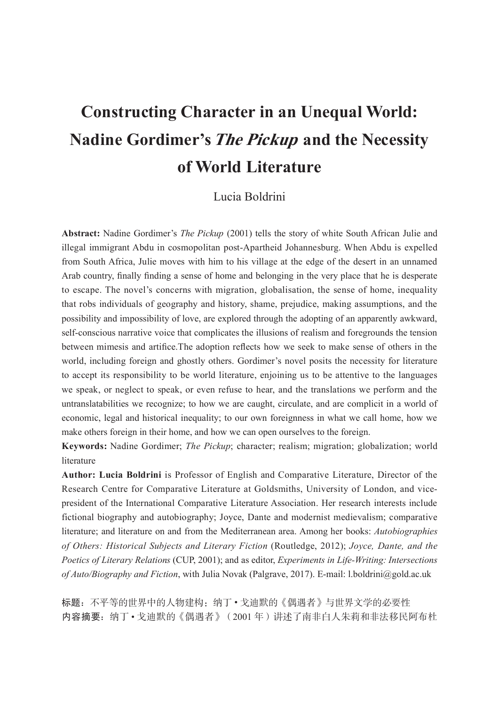# **Constructing Character in an Unequal World: Nadine Gordimer's The Pickup and the Necessity** of World Literature

# Lucia Boldrini

Abstract: Nadine Gordimer's The Pickup (2001) tells the story of white South African Julie and illegal immigrant Abdu in cosmopolitan post-Apartheid Johannesburg. When Abdu is expelled from South Africa, Julie moves with him to his village at the edge of the desert in an unnamed Arab country, finally finding a sense of home and belonging in the very place that he is desperate to escape. The novel's concerns with migration, globalisation, the sense of home, inequality that robs individuals of geography and history, shame, prejudice, making assumptions, and the possibility and impossibility of love, are explored through the adopting of an apparently awkward, self-conscious narrative voice that complicates the illusions of realism and foregrounds the tension between mimesis and artifice. The adoption reflects how we seek to make sense of others in the world, including foreign and ghostly others. Gordimer's novel posits the necessity for literature to accept its responsibility to be world literature, enjoining us to be attentive to the languages we speak, or neglect to speak, or even refuse to hear, and the translations we perform and the untranslatabilities we recognize; to how we are caught, circulate, and are complicit in a world of economic, legal and historical inequality; to our own foreignness in what we call home, how we make others foreign in their home, and how we can open ourselves to the foreign.

Keywords: Nadine Gordimer; The Pickup; character; realism; migration; globalization; world literature

Author: Lucia Boldrini is Professor of English and Comparative Literature, Director of the Research Centre for Comparative Literature at Goldsmiths, University of London, and vicepresident of the International Comparative Literature Association. Her research interests include fictional biography and autobiography; Joyce, Dante and modernist medievalism; comparative literature; and literature on and from the Mediterranean area. Among her books: Autobiographies of Others: Historical Subjects and Literary Fiction (Routledge, 2012); Joyce, Dante, and the Poetics of Literary Relations (CUP, 2001); and as editor, Experiments in Life-Writing: Intersections of Auto/Biography and Fiction, with Julia Novak (Palgrave, 2017). E-mail: 1.boldrini@gold.ac.uk

标题: 不平等的世界中的人物建构: 纳丁·戈迪默的《偶遇者》与世界文学的必要性 内容摘要: 纳丁·戈迪默的《偶遇者》(2001年)讲述了南非白人朱莉和非法移民阿布杜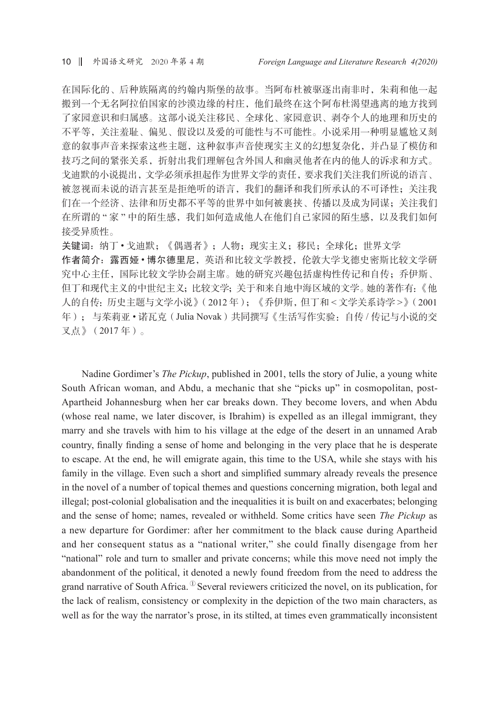在国际化的、后种族隔离的约翰内斯堡的故事。当阿布杜被驱逐出南非时,朱莉和他一起 搬到一个无名阿拉伯国家的沙漠边缘的村庄,他们最终在这个阿布杜渴望逃离的地方找到 了家园意识和归属感。这部小说关注移民、全球化、家园意识、剥夺个人的地理和历史的 不平等,关注羞耻、偏见、假设以及爱的可能性与不可能性。小说采用一种明显尴尬又刻 意的叙事声音来探索这些主题,这种叙事声音使现实主义的幻想复杂化,并凸显了模仿和 技巧之间的紧张关系,折射出我们理解包含外国人和幽灵他者在内的他人的诉求和方式。 戈迪默的小说提出,文学必须承担起作为世界文学的责任,要求我们关注我们所说的语言、 被忽视而未说的语言甚至是拒绝听的语言,我们的翻译和我们所承认的不可译性;关注我 们在一个经济、法律和历史都不平等的世界中如何被裹挟、传播以及成为同谋;关注我们 在所谓的"家"中的陌生感,我们如何造成他人在他们自己家园的陌生感,以及我们如何 接受异质性。

关键词: 纳丁·戈迪默;《偶遇者》;人物;现实主义;移民;全球化;世界文学 作者简介: 露西娅·博尔德里尼,英语和比较文学教授,伦敦大学戈德史密斯比较文学研 究中心主任,国际比较文学协会副主席。她的研究兴趣包括虚构性传记和自传;乔伊斯、 但丁和现代主义的中世纪主义;比较文学;关于和来自地中海区域的文学。她的著作有:《他 人的自传:历史主题与文学小说》(2012年);《乔伊斯,但丁和 <文学关系诗学 >》(2001 年); 与茱莉亚·诺瓦克(Julia Novak)共同撰写《生活写作实验: 自传 / 传记与小说的交 又点》(2017年)。

Nadine Gordimer's *The Pickup*, published in 2001, tells the story of Julie, a young white South African woman, and Abdu, a mechanic that she "picks up" in cosmopolitan, post-Apartheid Johannesburg when her car breaks down. They become lovers, and when Abdu (whose real name, we later discover, is Ibrahim) is expelled as an illegal immigrant, they marry and she travels with him to his village at the edge of the desert in an unnamed Arab country, finally finding a sense of home and belonging in the very place that he is desperate to escape. At the end, he will emigrate again, this time to the USA, while she stays with his family in the village. Even such a short and simplified summary already reveals the presence in the novel of a number of topical themes and questions concerning migration, both legal and illegal; post-colonial globalisation and the inequalities it is built on and exacerbates; belonging and the sense of home; names, revealed or withheld. Some critics have seen The Pickup as a new departure for Gordimer: after her commitment to the black cause during Apartheid and her consequent status as a "national writer," she could finally disengage from her "national" role and turn to smaller and private concerns; while this move need not imply the abandonment of the political, it denoted a newly found freedom from the need to address the grand narrative of South Africa.  $\mathbb{D}$  Several reviewers criticized the novel, on its publication, for the lack of realism, consistency or complexity in the depiction of the two main characters, as well as for the way the narrator's prose, in its stilted, at times even grammatically inconsistent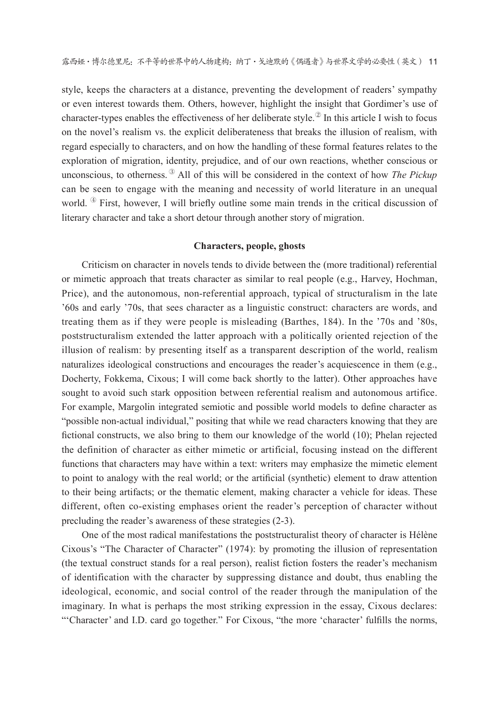style, keeps the characters at a distance, preventing the development of readers' sympathy or even interest towards them. Others, however, highlight the insight that Gordimer's use of character-types enables the effectiveness of her deliberate style.<sup>29</sup> In this article I wish to focus on the novel's realism vs. the explicit deliberateness that breaks the illusion of realism, with regard especially to characters, and on how the handling of these formal features relates to the exploration of migration, identity, prejudice, and of our own reactions, whether conscious or unconscious, to otherness. <sup>3</sup> All of this will be considered in the context of how *The Pickup* can be seen to engage with the meaning and necessity of world literature in an unequal world.  $\Phi$  First, however, I will briefly outline some main trends in the critical discussion of literary character and take a short detour through another story of migration.

#### **Characters, people, ghosts**

Criticism on character in novels tends to divide between the (more traditional) referential or mimetic approach that treats character as similar to real people (e.g., Harvey, Hochman, Price), and the autonomous, non-referential approach, typical of structuralism in the late '60s and early '70s, that sees character as a linguistic construct: characters are words, and treating them as if they were people is misleading (Barthes, 184). In the '70s and '80s, poststructuralism extended the latter approach with a politically oriented rejection of the illusion of realism: by presenting itself as a transparent description of the world, realism naturalizes ideological constructions and encourages the reader's acquiescence in them (e.g., Docherty, Fokkema, Cixous; I will come back shortly to the latter). Other approaches have sought to avoid such stark opposition between referential realism and autonomous artifice. For example, Margolin integrated semiotic and possible world models to define character as "possible non-actual individual," positing that while we read characters knowing that they are fictional constructs, we also bring to them our knowledge of the world (10); Phelan rejected the definition of character as either mimetic or artificial, focusing instead on the different functions that characters may have within a text: writers may emphasize the mimetic element to point to analogy with the real world; or the artificial (synthetic) element to draw attention to their being artifacts; or the thematic element, making character a vehicle for ideas. These different, often co-existing emphases orient the reader's perception of character without precluding the reader's awareness of these strategies (2-3).

One of the most radical manifestations the poststructuralist theory of character is Hélène Cixous's "The Character of Character" (1974): by promoting the illusion of representation (the textual construct stands for a real person), realist fiction fosters the reader's mechanism of identification with the character by suppressing distance and doubt, thus enabling the ideological, economic, and social control of the reader through the manipulation of the imaginary. In what is perhaps the most striking expression in the essay, Cixous declares: "Character' and I.D. card go together." For Cixous, "the more 'character' fulfills the norms,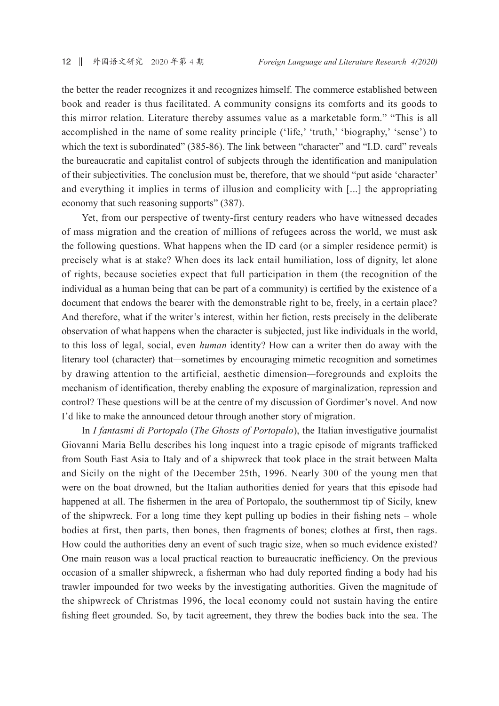the better the reader recognizes it and recognizes himself. The commerce established between book and reader is thus facilitated. A community consigns its comforts and its goods to this mirror relation. Literature thereby assumes value as a marketable form." "This is all accomplished in the name of some reality principle ('life,' 'truth,' 'biography,' 'sense') to which the text is subordinated" (385-86). The link between "character" and "I.D. card" reveals the bureaucratic and capitalist control of subjects through the identification and manipulation of their subjectivities. The conclusion must be, therefore, that we should "put aside 'character' and everything it implies in terms of illusion and complicity with [...] the appropriating economy that such reasoning supports" (387).

Yet, from our perspective of twenty-first century readers who have witnessed decades of mass migration and the creation of millions of refugees across the world, we must ask the following questions. What happens when the ID card (or a simpler residence permit) is precisely what is at stake? When does its lack entail humiliation, loss of dignity, let alone of rights, because societies expect that full participation in them (the recognition of the individual as a human being that can be part of a community) is certified by the existence of a document that endows the bearer with the demonstrable right to be, freely, in a certain place? And therefore, what if the writer's interest, within her fiction, rests precisely in the deliberate observation of what happens when the character is subjected, just like individuals in the world, to this loss of legal, social, even *human* identity? How can a writer then do away with the literary tool (character) that—sometimes by encouraging mimetic recognition and sometimes by drawing attention to the artificial, aesthetic dimension—foregrounds and exploits the mechanism of identification, thereby enabling the exposure of marginalization, repression and control? These questions will be at the centre of my discussion of Gordimer's novel. And now I'd like to make the announced detour through another story of migration.

In *I fantasmi di Portopalo (The Ghosts of Portopalo)*, the Italian investigative journalist Giovanni Maria Bellu describes his long inquest into a tragic episode of migrants trafficked from South East Asia to Italy and of a shipwreck that took place in the strait between Malta and Sicily on the night of the December 25th, 1996. Nearly 300 of the young men that were on the boat drowned, but the Italian authorities denied for years that this episode had happened at all. The fishermen in the area of Portopalo, the southernmost tip of Sicily, knew of the shipwreck. For a long time they kept pulling up bodies in their fishing nets – whole bodies at first, then parts, then bones, then fragments of bones; clothes at first, then rags. How could the authorities deny an event of such tragic size, when so much evidence existed? One main reason was a local practical reaction to bureaucratic inefficiency. On the previous occasion of a smaller shipwreck, a fisherman who had duly reported finding a body had his trawler impounded for two weeks by the investigating authorities. Given the magnitude of the shipwreck of Christmas 1996, the local economy could not sustain having the entire fishing fleet grounded. So, by tacit agreement, they threw the bodies back into the sea. The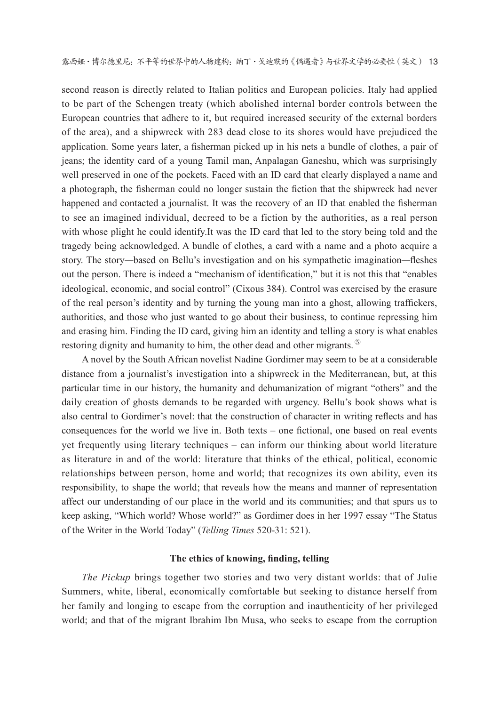second reason is directly related to Italian politics and European policies. Italy had applied to be part of the Schengen treaty (which abolished internal border controls between the European countries that adhere to it, but required increased security of the external borders of the area), and a shipwreck with 283 dead close to its shores would have prejudiced the application. Some years later, a fisherman picked up in his nets a bundle of clothes, a pair of jeans; the identity card of a young Tamil man, Anpalagan Ganeshu, which was surprisingly well preserved in one of the pockets. Faced with an ID card that clearly displayed a name and a photograph, the fisherman could no longer sustain the fiction that the shipwreck had never happened and contacted a journalist. It was the recovery of an ID that enabled the fisherman to see an imagined individual, decreed to be a fiction by the authorities, as a real person with whose plight he could identify. It was the ID card that led to the story being told and the tragedy being acknowledged. A bundle of clothes, a card with a name and a photo acquire a story. The story—based on Bellu's investigation and on his sympathetic imagination—fleshes out the person. There is indeed a "mechanism of identification," but it is not this that "enables" ideological, economic, and social control" (Cixous 384). Control was exercised by the erasure of the real person's identity and by turning the young man into a ghost, allowing traffickers, authorities, and those who just wanted to go about their business, to continue repressing him and erasing him. Finding the ID card, giving him an identity and telling a story is what enables restoring dignity and humanity to him, the other dead and other migrants.

A novel by the South African novelist Nadine Gordimer may seem to be at a considerable distance from a journalist's investigation into a shipwreck in the Mediterranean, but, at this particular time in our history, the humanity and dehumanization of migrant "others" and the daily creation of ghosts demands to be regarded with urgency. Bellu's book shows what is also central to Gordimer's novel: that the construction of character in writing reflects and has consequences for the world we live in. Both texts – one fictional, one based on real events vet frequently using literary techniques – can inform our thinking about world literature as literature in and of the world: literature that thinks of the ethical, political, economic relationships between person, home and world; that recognizes its own ability, even its responsibility, to shape the world; that reveals how the means and manner of representation affect our understanding of our place in the world and its communities; and that spurs us to keep asking, "Which world? Whose world?" as Gordimer does in her 1997 essay "The Status of the Writer in the World Today" (Telling Times 520-31: 521).

#### The ethics of knowing, finding, telling

The Pickup brings together two stories and two very distant worlds: that of Julie Summers, white, liberal, economically comfortable but seeking to distance herself from her family and longing to escape from the corruption and inauthenticity of her privileged world; and that of the migrant Ibrahim Ibn Musa, who seeks to escape from the corruption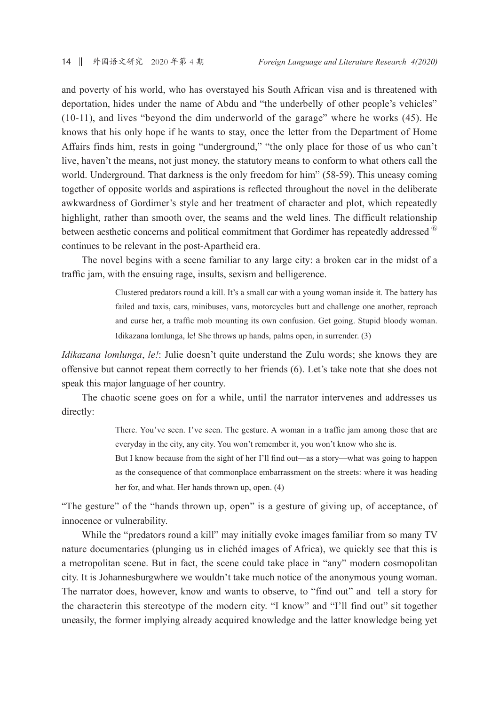and poverty of his world, who has overstayed his South African visa and is threatened with deportation, hides under the name of Abdu and "the underbelly of other people's vehicles" (10-11), and lives "beyond the dim underworld of the garage" where he works (45). He knows that his only hope if he wants to stay, once the letter from the Department of Home Affairs finds him, rests in going "underground," "the only place for those of us who can't live, haven't the means, not just money, the statutory means to conform to what others call the world. Underground. That darkness is the only freedom for him" (58-59). This uneasy coming together of opposite worlds and aspirations is reflected throughout the novel in the deliberate awkwardness of Gordimer's style and her treatment of character and plot, which repeatedly highlight, rather than smooth over, the seams and the weld lines. The difficult relationship between aesthetic concerns and political commitment that Gordimer has repeatedly addressed <sup>60</sup> continues to be relevant in the post-Apartheid era.

The novel begins with a scene familiar to any large city: a broken car in the midst of a traffic jam, with the ensuing rage, insults, sexism and belligerence.

> Clustered predators round a kill. It's a small car with a young woman inside it. The battery has failed and taxis, cars, minibuses, vans, motorcycles butt and challenge one another, reproach and curse her, a traffic mob mounting its own confusion. Get going. Stupid bloody woman. Idikazana lomlunga, le! She throws up hands, palms open, in surrender. (3)

*Idikazana lomlunga, le!:* Julie doesn't quite understand the Zulu words; she knows they are offensive but cannot repeat them correctly to her friends (6). Let's take note that she does not speak this major language of her country.

The chaotic scene goes on for a while, until the narrator intervenes and addresses us directly:

> There. You've seen. I've seen. The gesture. A woman in a traffic jam among those that are everyday in the city, any city. You won't remember it, you won't know who she is.

> But I know because from the sight of her I'll find out—as a story—what was going to happen as the consequence of that commonplace embarrassment on the streets: where it was heading her for, and what. Her hands thrown up, open. (4)

"The gesture" of the "hands thrown up, open" is a gesture of giving up, of acceptance, of innocence or vulnerability.

While the "predators round a kill" may initially evoke images familiar from so many TV nature documentaries (plunging us in clichéd images of Africa), we quickly see that this is a metropolitan scene. But in fact, the scene could take place in "any" modern cosmopolitan city. It is Johannesburgwhere we wouldn't take much notice of the anonymous young woman. The narrator does, however, know and wants to observe, to "find out" and tell a story for the characterin this stereotype of the modern city. "I know" and "I'll find out" sit together uneasily, the former implying already acquired knowledge and the latter knowledge being yet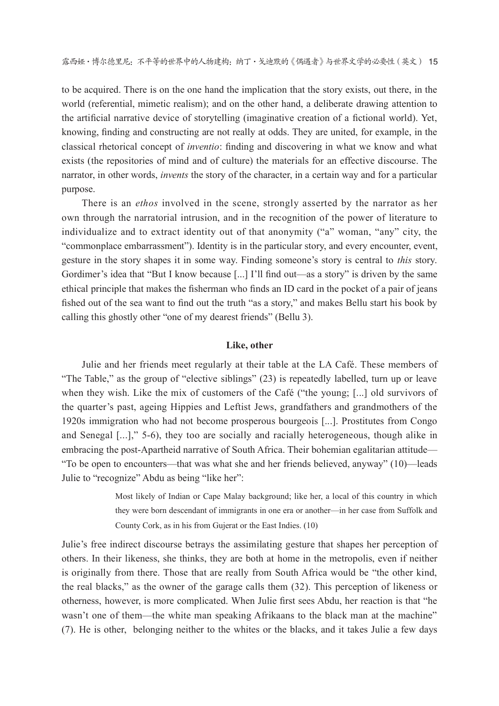to be acquired. There is on the one hand the implication that the story exists, out there, in the world (referential, mimetic realism); and on the other hand, a deliberate drawing attention to the artificial narrative device of storytelling (imaginative creation of a fictional world). Yet, knowing, finding and constructing are not really at odds. They are united, for example, in the classical rhetorical concept of *inventio*: finding and discovering in what we know and what exists (the repositories of mind and of culture) the materials for an effective discourse. The narrator, in other words, *invents* the story of the character, in a certain way and for a particular purpose.

There is an *ethos* involved in the scene, strongly asserted by the narrator as her own through the narratorial intrusion, and in the recognition of the power of literature to individualize and to extract identity out of that anonymity ("a" woman, "any" city, the "commonplace embarrassment"). Identity is in the particular story, and every encounter, event, gesture in the story shapes it in some way. Finding someone's story is central to *this* story. Gordimer's idea that "But I know because [...] I'll find out—as a story" is driven by the same ethical principle that makes the fisherman who finds an ID card in the pocket of a pair of jeans fished out of the sea want to find out the truth "as a story," and makes Bellu start his book by calling this ghostly other "one of my dearest friends" (Bellu 3).

#### Like, other

Julie and her friends meet regularly at their table at the LA Café. These members of "The Table," as the group of "elective siblings" (23) is repeatedly labelled, turn up or leave when they wish. Like the mix of customers of the Café ("the young: [...] old survivors of the quarter's past, ageing Hippies and Leftist Jews, grandfathers and grandmothers of the 1920s immigration who had not become prosperous bourgeois [...]. Prostitutes from Congo and Senegal [...]," 5-6), they too are socially and racially heterogeneous, though alike in embracing the post-Apartheid narrative of South Africa. Their bohemian egalitarian attitude— "To be open to encounters—that was what she and her friends believed, anyway" (10)—leads Julie to "recognize" Abdu as being "like her":

> Most likely of Indian or Cape Malay background; like her, a local of this country in which they were born descendant of immigrants in one era or another—in her case from Suffolk and County Cork, as in his from Gujerat or the East Indies. (10)

Julie's free indirect discourse betrays the assimilating gesture that shapes her perception of others. In their likeness, she thinks, they are both at home in the metropolis, even if neither is originally from there. Those that are really from South Africa would be "the other kind, the real blacks," as the owner of the garage calls them (32). This perception of likeness or otherness, however, is more complicated. When Julie first sees Abdu, her reaction is that "he wasn't one of them—the white man speaking Afrikaans to the black man at the machine" (7). He is other, belonging neither to the whites or the blacks, and it takes Julie a few days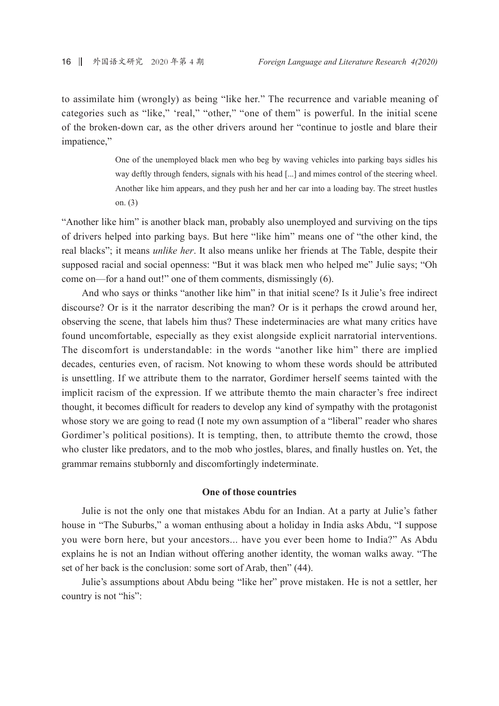to assimilate him (wrongly) as being "like her." The recurrence and variable meaning of categories such as "like," 'real," "other," "one of them" is powerful. In the initial scene of the broken-down car, as the other drivers around her "continue to jostle and blare their impatience,"

> One of the unemployed black men who beg by waving vehicles into parking bays sidles his way deftly through fenders, signals with his head [...] and mimes control of the steering wheel. Another like him appears, and they push her and her car into a loading bay. The street hustles on.  $(3)$

"Another like him" is another black man, probably also unemployed and surviving on the tips of drivers helped into parking bays. But here "like him" means one of "the other kind, the real blacks"; it means *unlike her*. It also means unlike her friends at The Table, despite their supposed racial and social openness: "But it was black men who helped me" Julie says; "Oh come on—for a hand out!" one of them comments, dismissingly (6).

And who says or thinks "another like him" in that initial scene? Is it Julie's free indirect discourse? Or is it the narrator describing the man? Or is it perhaps the crowd around her. observing the scene, that labels him thus? These indeterminacies are what many critics have found uncomfortable, especially as they exist alongside explicit narratorial interventions. The discomfort is understandable: in the words "another like him" there are implied decades, centuries even, of racism. Not knowing to whom these words should be attributed is unsettling. If we attribute them to the narrator, Gordimer herself seems tainted with the implicit racism of the expression. If we attribute them to the main character's free indirect thought, it becomes difficult for readers to develop any kind of sympathy with the protagonist whose story we are going to read (I note my own assumption of a "liberal" reader who shares Gordimer's political positions). It is tempting, then, to attribute them to the crowd, those who cluster like predators, and to the mob who jostles, blares, and finally hustles on. Yet, the grammar remains stubbornly and discomfortingly indeterminate.

#### One of those countries

Julie is not the only one that mistakes Abdu for an Indian. At a party at Julie's father house in "The Suburbs," a woman enthusing about a holiday in India asks Abdu, "I suppose you were born here, but your ancestors... have you ever been home to India?" As Abdu explains he is not an Indian without offering another identity, the woman walks away. "The set of her back is the conclusion: some sort of Arab, then" (44).

Julie's assumptions about Abdu being "like her" prove mistaken. He is not a settler, her country is not "his":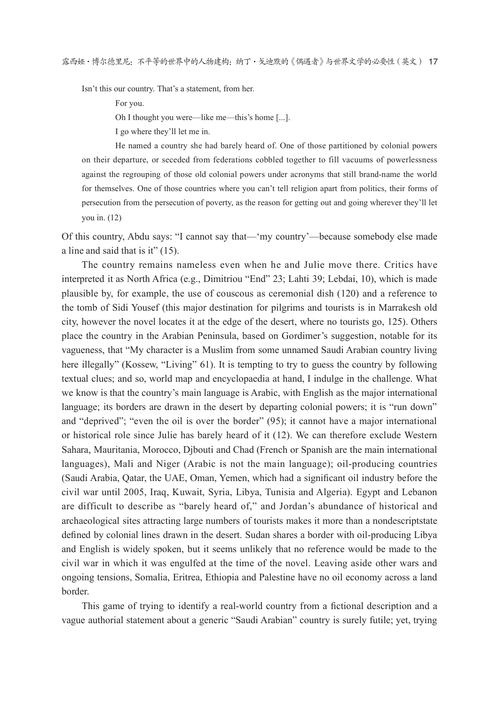Isn't this our country. That's a statement, from her.

For you.

Oh I thought you were—like me—this's home [...].

I go where they'll let me in.

He named a country she had barely heard of. One of those partitioned by colonial powers on their departure, or seceded from federations cobbled together to fill vacuums of powerlessness against the regrouping of those old colonial powers under acronyms that still brand-name the world for themselves. One of those countries where you can't tell religion apart from politics, their forms of persecution from the persecution of poverty, as the reason for getting out and going wherever they'll let vou in.  $(12)$ 

Of this country, Abdu says: "I cannot say that—'my country'—because somebody else made a line and said that is it"  $(15)$ .

The country remains nameless even when he and Julie move there. Critics have interpreted it as North Africa (e.g., Dimitriou "End" 23; Lahti 39; Lebdai, 10), which is made plausible by, for example, the use of couscous as ceremonial dish  $(120)$  and a reference to the tomb of Sidi Yousef (this major destination for pilgrims and tourists is in Marrakesh old city, however the novel locates it at the edge of the desert, where no tourists go, 125). Others place the country in the Arabian Peninsula, based on Gordimer's suggestion, notable for its vagueness, that "My character is a Muslim from some unnamed Saudi Arabian country living here illegally" (Kossew, "Living" 61). It is tempting to try to guess the country by following textual clues; and so, world map and encyclopaedia at hand, I indulge in the challenge. What we know is that the country's main language is Arabic, with English as the major international language; its borders are drawn in the desert by departing colonial powers; it is "run down" and "deprived"; "even the oil is over the border" (95); it cannot have a major international or historical role since Julie has barely heard of it (12). We can therefore exclude Western Sahara, Mauritania, Morocco, Djbouti and Chad (French or Spanish are the main international languages), Mali and Niger (Arabic is not the main language); oil-producing countries (Saudi Arabia, Qatar, the UAE, Oman, Yemen, which had a significant oil industry before the civil war until 2005, Iraq, Kuwait, Syria, Libya, Tunisia and Algeria). Egypt and Lebanon are difficult to describe as "barely heard of," and Jordan's abundance of historical and archaeological sites attracting large numbers of tourists makes it more than a nondescriptstate defined by colonial lines drawn in the desert. Sudan shares a border with oil-producing Libya and English is widely spoken, but it seems unlikely that no reference would be made to the civil war in which it was engulfed at the time of the novel. Leaving aside other wars and ongoing tensions, Somalia, Eritrea, Ethiopia and Palestine have no oil economy across a land border.

This game of trying to identify a real-world country from a fictional description and a vague authorial statement about a generic "Saudi Arabian" country is surely futile; yet, trying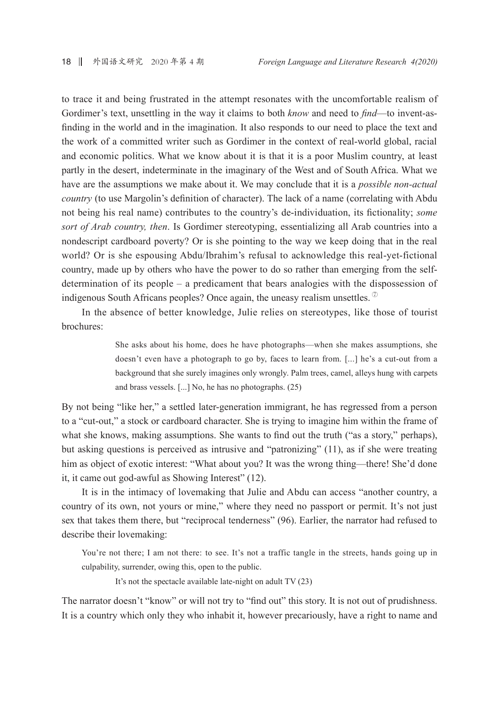to trace it and being frustrated in the attempt resonates with the uncomfortable realism of Gordimer's text, unsettling in the way it claims to both *know* and need to *find*—to invent-asfinding in the world and in the imagination. It also responds to our need to place the text and the work of a committed writer such as Gordimer in the context of real-world global, racial and economic politics. What we know about it is that it is a poor Muslim country, at least partly in the desert, indeterminate in the imaginary of the West and of South Africa. What we have are the assumptions we make about it. We may conclude that it is a *possible non-actual* country (to use Margolin's definition of character). The lack of a name (correlating with Abdu not being his real name) contributes to the country's de-individuation, its fictionality; some sort of Arab country, then. Is Gordimer stereotyping, essentializing all Arab countries into a nondescript cardboard poverty? Or is she pointing to the way we keep doing that in the real world? Or is she espousing Abdu/Ibrahim's refusal to acknowledge this real-yet-fictional country, made up by others who have the power to do so rather than emerging from the selfdetermination of its people  $-$  a predicament that bears analogies with the dispossession of indigenous South Africans peoples? Once again, the uneasy realism unsettles.  $\mathcal{D}$ 

In the absence of better knowledge, Julie relies on stereotypes, like those of tourist brochures:

> She asks about his home, does he have photographs—when she makes assumptions, she doesn't even have a photograph to go by, faces to learn from. [...] he's a cut-out from a background that she surely imagines only wrongly. Palm trees, camel, alleys hung with carpets and brass vessels. [...] No, he has no photographs. (25)

By not being "like her," a settled later-generation immigrant, he has regressed from a person to a "cut-out," a stock or cardboard character. She is trying to imagine him within the frame of what she knows, making assumptions. She wants to find out the truth ("as a story," perhaps), but asking questions is perceived as intrusive and "patronizing" (11), as if she were treating him as object of exotic interest: "What about you? It was the wrong thing—there! She'd done it, it came out god-awful as Showing Interest" (12).

It is in the intimacy of lovemaking that Julie and Abdu can access "another country, a country of its own, not yours or mine," where they need no passport or permit. It's not just sex that takes them there, but "reciprocal tenderness" (96). Earlier, the narrator had refused to describe their lovemaking:

You're not there; I am not there: to see. It's not a traffic tangle in the streets, hands going up in culpability, surrender, owing this, open to the public.

It's not the spectacle available late-night on adult TV (23)

The narrator doesn't "know" or will not try to "find out" this story. It is not out of prudishness. It is a country which only they who inhabit it, however precariously, have a right to name and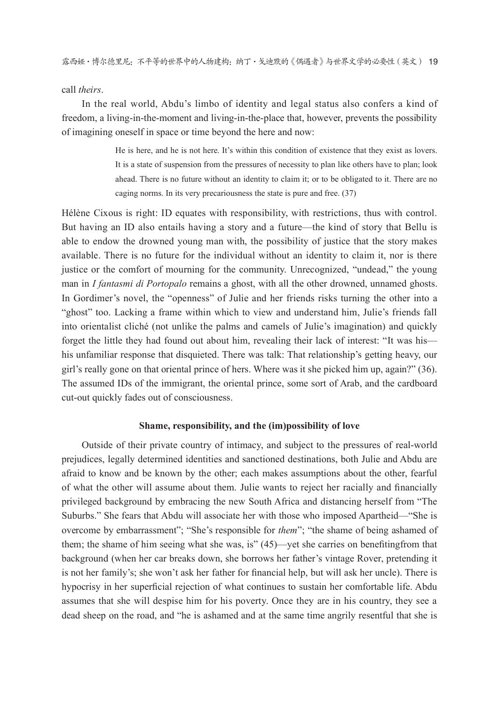#### call theirs.

In the real world, Abdu's limbo of identity and legal status also confers a kind of freedom, a living-in-the-moment and living-in-the-place that, however, prevents the possibility of imagining oneself in space or time beyond the here and now:

> He is here, and he is not here. It's within this condition of existence that they exist as lovers. It is a state of suspension from the pressures of necessity to plan like others have to plan; look ahead. There is no future without an identity to claim it; or to be obligated to it. There are no caging norms. In its very precariousness the state is pure and free. (37)

Hélène Cixous is right: ID equates with responsibility, with restrictions, thus with control. But having an ID also entails having a story and a future—the kind of story that Bellu is able to endow the drowned young man with, the possibility of justice that the story makes available. There is no future for the individual without an identity to claim it, nor is there justice or the comfort of mourning for the community. Unrecognized, "undead," the young man in *I fantasmi di Portopalo* remains a ghost, with all the other drowned, unnamed ghosts. In Gordimer's novel, the "openness" of Julie and her friends risks turning the other into a "ghost" too. Lacking a frame within which to view and understand him. Julie's friends fall into orientalist cliché (not unlike the palms and camels of Julie's imagination) and quickly forget the little they had found out about him, revealing their lack of interest: "It was his his unfamiliar response that disquieted. There was talk: That relationship's getting heavy, our girl's really gone on that oriental prince of hers. Where was it she picked him up, again?" (36). The assumed IDs of the immigrant, the oriental prince, some sort of Arab, and the cardboard cut-out quickly fades out of consciousness.

#### Shame, responsibility, and the (im)possibility of love

Outside of their private country of intimacy, and subject to the pressures of real-world prejudices, legally determined identities and sanctioned destinations, both Julie and Abdu are afraid to know and be known by the other; each makes assumptions about the other, fearful of what the other will assume about them. Julie wants to reject her racially and financially privileged background by embracing the new South Africa and distancing herself from "The Suburbs." She fears that Abdu will associate her with those who imposed Apartheid—"She is overcome by embarrassment"; "She's responsible for *them*"; "the shame of being ashamed of them; the shame of him seeing what she was, is" (45)—yet she carries on benefiting from that background (when her car breaks down, she borrows her father's vintage Rover, pretending it is not her family's; she won't ask her father for financial help, but will ask her uncle). There is hypocrisy in her superficial rejection of what continues to sustain her comfortable life. Abdu assumes that she will despise him for his poverty. Once they are in his country, they see a dead sheep on the road, and "he is ashamed and at the same time angrily resentful that she is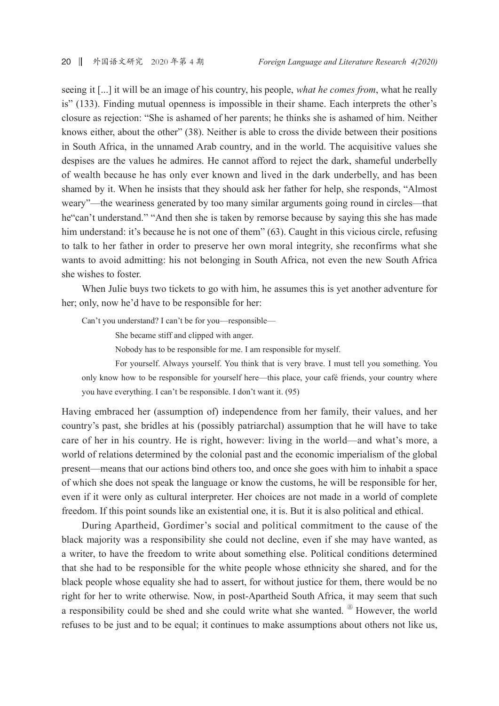seeing it [...] it will be an image of his country, his people, *what he comes from*, what he really is" (133). Finding mutual openness is impossible in their shame. Each interprets the other's closure as rejection: "She is ashamed of her parents; he thinks she is ashamed of him. Neither knows either, about the other" (38). Neither is able to cross the divide between their positions in South Africa, in the unnamed Arab country, and in the world. The acquisitive values she despises are the values he admires. He cannot afford to reject the dark, shameful underbelly of wealth because he has only ever known and lived in the dark underbelly, and has been shamed by it. When he insists that they should ask her father for help, she responds, "Almost" weary"—the weariness generated by too many similar arguments going round in circles—that he "can't understand." "And then she is taken by remorse because by saying this she has made him understand: it's because he is not one of them" (63). Caught in this vicious circle, refusing to talk to her father in order to preserve her own moral integrity, she reconfirms what she wants to avoid admitting: his not belonging in South Africa, not even the new South Africa she wishes to foster.

When Julie buys two tickets to go with him, he assumes this is yet another adventure for her; only, now he'd have to be responsible for her:

Can't you understand? I can't be for you—responsible—

She became stiff and clipped with anger.

Nobody has to be responsible for me. I am responsible for myself.

For yourself. Always yourself. You think that is very brave. I must tell you something. You only know how to be responsible for yourself here—this place, your café friends, your country where you have everything. I can't be responsible. I don't want it. (95)

Having embraced her (assumption of) independence from her family, their values, and her country's past, she bridles at his (possibly patriarchal) assumption that he will have to take care of her in his country. He is right, however: living in the world—and what's more, a world of relations determined by the colonial past and the economic imperialism of the global present—means that our actions bind others too, and once she goes with him to inhabit a space of which she does not speak the language or know the customs, he will be responsible for her, even if it were only as cultural interpreter. Her choices are not made in a world of complete freedom. If this point sounds like an existential one, it is. But it is also political and ethical.

During Apartheid, Gordimer's social and political commitment to the cause of the black majority was a responsibility she could not decline, even if she may have wanted, as a writer, to have the freedom to write about something else. Political conditions determined that she had to be responsible for the white people whose ethnicity she shared, and for the black people whose equality she had to assert, for without justice for them, there would be no right for her to write otherwise. Now, in post-Apartheid South Africa, it may seem that such a responsibility could be shed and she could write what she wanted. <sup>®</sup> However, the world refuses to be just and to be equal; it continues to make assumptions about others not like us,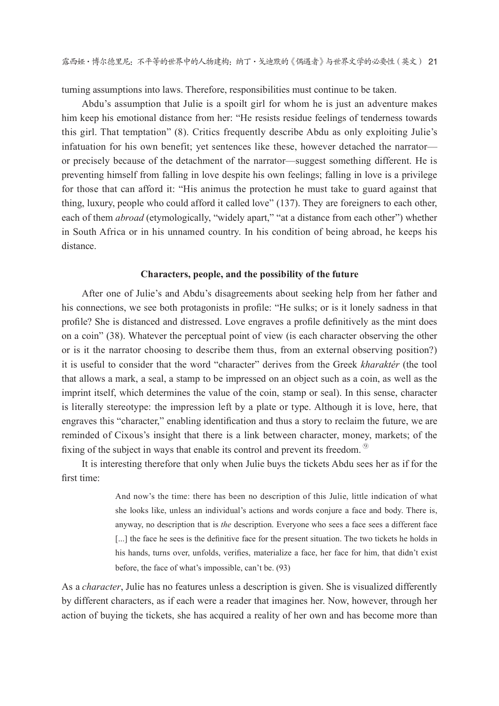turning assumptions into laws. Therefore, responsibilities must continue to be taken.

Abdu's assumption that Julie is a spoilt girl for whom he is just an adventure makes him keep his emotional distance from her: "He resists residue feelings of tenderness towards this girl. That temptation" (8). Critics frequently describe Abdu as only exploiting Julie's infatuation for his own benefit; yet sentences like these, however detached the narratoror precisely because of the detachment of the narrator—suggest something different. He is preventing himself from falling in love despite his own feelings; falling in love is a privilege for those that can afford it: "His animus the protection he must take to guard against that thing, luxury, people who could afford it called love" (137). They are foreigners to each other, each of them *abroad* (etymologically, "widely apart," "at a distance from each other") whether in South Africa or in his unnamed country. In his condition of being abroad, he keeps his distance

#### Characters, people, and the possibility of the future

After one of Julie's and Abdu's disagreements about seeking help from her father and his connections, we see both protagonists in profile: "He sulks; or is it lonely sadness in that profile? She is distanced and distressed. Love engraves a profile definitively as the mint does on a coin" (38). Whatever the perceptual point of view (is each character observing the other or is it the narrator choosing to describe them thus, from an external observing position?) it is useful to consider that the word "character" derives from the Greek kharakter (the tool that allows a mark, a seal, a stamp to be impressed on an object such as a coin, as well as the imprint itself, which determines the value of the coin, stamp or seal). In this sense, character is literally stereotype: the impression left by a plate or type. Although it is love, here, that engraves this "character," enabling identification and thus a story to reclaim the future, we are reminded of Cixous's insight that there is a link between character, money, markets; of the fixing of the subject in ways that enable its control and prevent its freedom.

It is interesting therefore that only when Julie buys the tickets Abdu sees her as if for the first time<sup>.</sup>

> And now's the time: there has been no description of this Julie, little indication of what she looks like, unless an individual's actions and words conjure a face and body. There is, anyway, no description that is the description. Everyone who sees a face sees a different face [...] the face he sees is the definitive face for the present situation. The two tickets he holds in his hands, turns over, unfolds, verifies, materialize a face, her face for him, that didn't exist before, the face of what's impossible, can't be. (93)

As a *character*, Julie has no features unless a description is given. She is visualized differently by different characters, as if each were a reader that imagines her. Now, however, through her action of buying the tickets, she has acquired a reality of her own and has become more than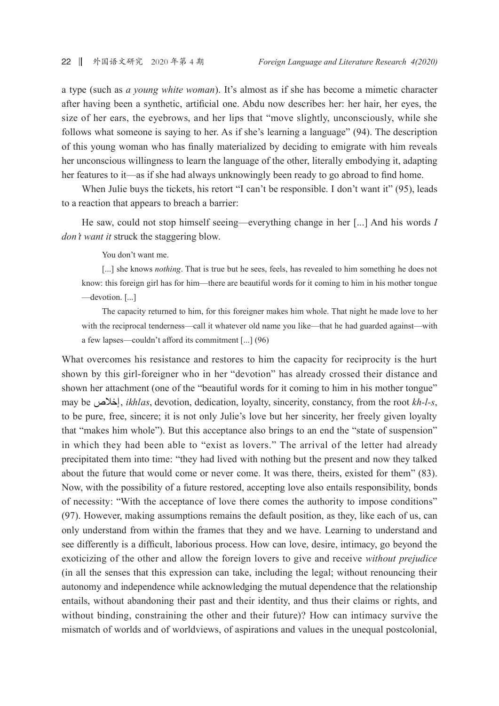a type (such as *a young white woman*). It's almost as if she has become a mimetic character after having been a synthetic, artificial one. Abdu now describes her: her hair, her eyes, the size of her ears, the eyebrows, and her lips that "move slightly, unconsciously, while she follows what someone is saying to her. As if she's learning a language" (94). The description of this young woman who has finally materialized by deciding to emigrate with him reveals her unconscious willingness to learn the language of the other, literally embodying it, adapting her features to it—as if she had always unknowingly been ready to go abroad to find home.

When Julie buys the tickets, his retort "I can't be responsible. I don't want it" (95), leads to a reaction that appears to breach a barrier:

He saw, could not stop himself seeing—everything change in her [...] And his words I *don't want it* struck the staggering blow.

You don't want me.

[...] she knows *nothing*. That is true but he sees, feels, has revealed to him something he does not know: this foreign girl has for him—there are beautiful words for it coming to him in his mother tongue -devotion. [...]

The capacity returned to him, for this foreigner makes him whole. That night he made love to her with the reciprocal tenderness—call it whatever old name you like—that he had guarded against—with a few lapses—couldn't afford its commitment [...]  $(96)$ 

What overcomes his resistance and restores to him the capacity for reciprocity is the hurt shown by this girl-foreigner who in her "devotion" has already crossed their distance and shown her attachment (one of the "beautiful words for it coming to him in his mother tongue" may be إخلاص, *ikhlas*, devotion, dedication, loyalty, sincerity, constancy, from the root *kh-l-s*, to be pure, free, sincere; it is not only Julie's love but her sincerity, her freely given loyalty that "makes him whole"). But this acceptance also brings to an end the "state of suspension" in which they had been able to "exist as lovers." The arrival of the letter had already precipitated them into time: "they had lived with nothing but the present and now they talked about the future that would come or never come. It was there, theirs, existed for them" (83). Now, with the possibility of a future restored, accepting love also entails responsibility, bonds of necessity: "With the acceptance of love there comes the authority to impose conditions" (97). However, making assumptions remains the default position, as they, like each of us, can only understand from within the frames that they and we have. Learning to understand and see differently is a difficult, laborious process. How can love, desire, intimacy, go beyond the exoticizing of the other and allow the foreign lovers to give and receive without prejudice (in all the senses that this expression can take, including the legal; without renouncing their autonomy and independence while acknowledging the mutual dependence that the relationship entails, without abandoning their past and their identity, and thus their claims or rights, and without binding, constraining the other and their future)? How can intimacy survive the mismatch of worlds and of worldviews, of aspirations and values in the unequal postcolonial,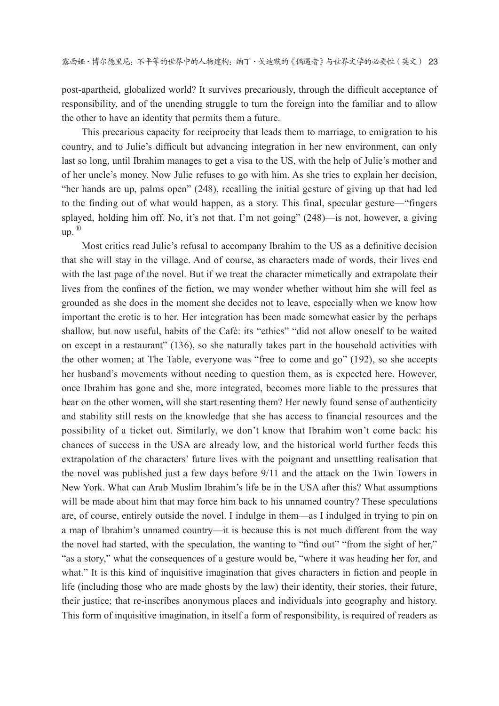post-apartheid, globalized world? It survives precariously, through the difficult acceptance of responsibility, and of the unending struggle to turn the foreign into the familiar and to allow the other to have an identity that permits them a future.

This precarious capacity for reciprocity that leads them to marriage, to emigration to his country, and to Julie's difficult but advancing integration in her new environment, can only last so long, until Ibrahim manages to get a visa to the US, with the help of Julie's mother and of her uncle's money. Now Julie refuses to go with him. As she tries to explain her decision, "her hands are up, palms open" (248), recalling the initial gesture of giving up that had led to the finding out of what would happen, as a story. This final, specular gesture—"fingers splayed, holding him off. No, it's not that. I'm not going" (248)—is not, however, a giving  $up.$ <sup> $\omega$ </sup>

Most critics read Julie's refusal to accompany Ibrahim to the US as a definitive decision that she will stay in the village. And of course, as characters made of words, their lives end with the last page of the novel. But if we treat the character mimetically and extrapolate their lives from the confines of the fiction, we may wonder whether without him she will feel as grounded as she does in the moment she decides not to leave, especially when we know how important the erotic is to her. Her integration has been made somewhat easier by the perhaps shallow, but now useful, habits of the Cafè: its "ethics" "did not allow oneself to be waited on except in a restaurant" (136), so she naturally takes part in the household activities with the other women; at The Table, everyone was "free to come and go" (192), so she accepts her husband's movements without needing to question them, as is expected here. However, once Ibrahim has gone and she, more integrated, becomes more liable to the pressures that bear on the other women, will she start resenting them? Her newly found sense of authenticity and stability still rests on the knowledge that she has access to financial resources and the possibility of a ticket out. Similarly, we don't know that Ibrahim won't come back: his chances of success in the USA are already low, and the historical world further feeds this extrapolation of the characters' future lives with the poignant and unsettling realisation that the novel was published just a few days before 9/11 and the attack on the Twin Towers in New York. What can Arab Muslim Ibrahim's life be in the USA after this? What assumptions will be made about him that may force him back to his unnamed country? These speculations are, of course, entirely outside the novel. I indulge in them—as I indulged in trying to pin on a map of Ibrahim's unnamed country—it is because this is not much different from the way the novel had started, with the speculation, the wanting to "find out" "from the sight of her," "as a story," what the consequences of a gesture would be, "where it was heading her for, and what." It is this kind of inquisitive imagination that gives characters in fiction and people in life (including those who are made ghosts by the law) their identity, their stories, their future, their justice; that re-inscribes anonymous places and individuals into geography and history. This form of inquisitive imagination, in itself a form of responsibility, is required of readers as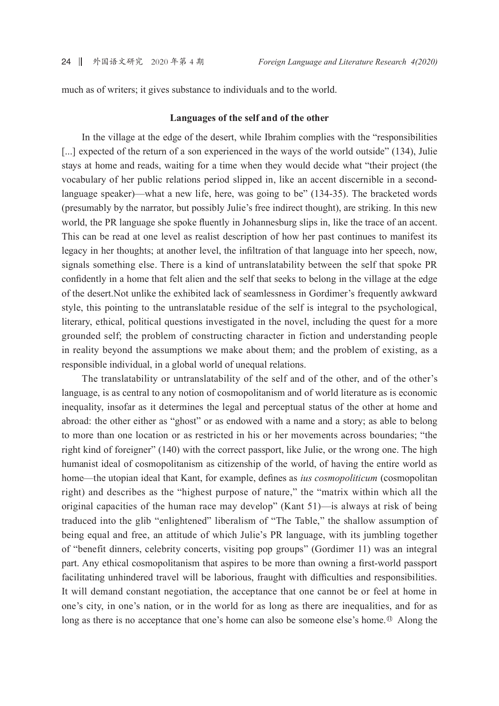much as of writers; it gives substance to individuals and to the world.

#### Languages of the self and of the other

In the village at the edge of the desert, while Ibrahim complies with the "responsibilities" [...] expected of the return of a son experienced in the ways of the world outside" (134), Julie stays at home and reads, waiting for a time when they would decide what "their project (the vocabulary of her public relations period slipped in, like an accent discernible in a secondlanguage speaker)—what a new life, here, was going to be" (134-35). The bracketed words (presumably by the narrator, but possibly Julie's free indirect thought), are striking. In this new world, the PR language she spoke fluently in Johannesburg slips in, like the trace of an accent. This can be read at one level as realist description of how her past continues to manifest its legacy in her thoughts; at another level, the infiltration of that language into her speech, now, signals something else. There is a kind of untranslatability between the self that spoke PR confidently in a home that felt alien and the self that seeks to belong in the village at the edge of the desert. Not unlike the exhibited lack of seamlessness in Gordimer's frequently awkward style, this pointing to the untranslatable residue of the self is integral to the psychological, literary, ethical, political questions investigated in the novel, including the quest for a more grounded self; the problem of constructing character in fiction and understanding people in reality beyond the assumptions we make about them; and the problem of existing, as a responsible individual, in a global world of unequal relations.

The translatability or untranslatability of the self and of the other, and of the other's language, is as central to any notion of cosmopolitanism and of world literature as is economic inequality, insofar as it determines the legal and perceptual status of the other at home and abroad: the other either as "ghost" or as endowed with a name and a story; as able to belong to more than one location or as restricted in his or her movements across boundaries; "the right kind of foreigner" (140) with the correct passport, like Julie, or the wrong one. The high humanist ideal of cosmopolitanism as citizenship of the world, of having the entire world as home—the utopian ideal that Kant, for example, defines as *ius cosmopoliticum* (cosmopolitan right) and describes as the "highest purpose of nature," the "matrix within which all the original capacities of the human race may develop" (Kant 51)—is always at risk of being traduced into the glib "enlightened" liberalism of "The Table," the shallow assumption of being equal and free, an attitude of which Julie's PR language, with its jumbling together of "benefit dinners, celebrity concerts, visiting pop groups" (Gordimer 11) was an integral part. Any ethical cosmopolitanism that aspires to be more than owning a first-world passport facilitating unhindered travel will be laborious, fraught with difficulties and responsibilities. It will demand constant negotiation, the acceptance that one cannot be or feel at home in one's city, in one's nation, or in the world for as long as there are inequalities, and for as long as there is no acceptance that one's home can also be someone else's home.<sup>10</sup> Along the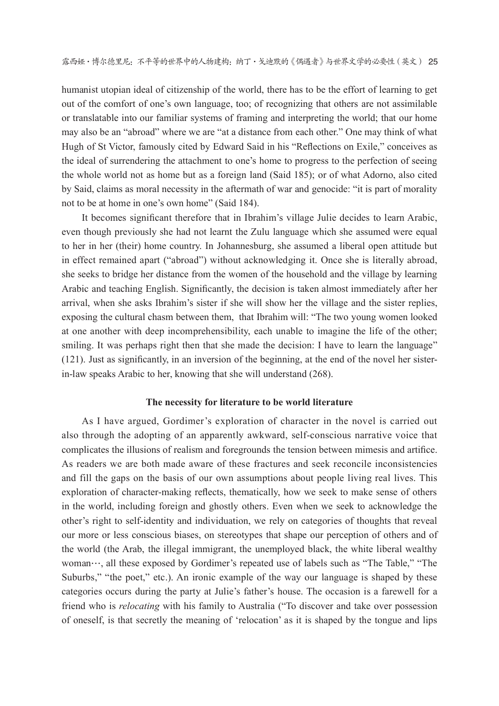humanist utopian ideal of citizenship of the world, there has to be the effort of learning to get out of the comfort of one's own language, too; of recognizing that others are not assimilable or translatable into our familiar systems of framing and interpreting the world; that our home may also be an "abroad" where we are "at a distance from each other." One may think of what Hugh of St Victor, famously cited by Edward Said in his "Reflections on Exile," conceives as the ideal of surrendering the attachment to one's home to progress to the perfection of seeing the whole world not as home but as a foreign land (Said 185); or of what Adorno, also cited by Said, claims as moral necessity in the aftermath of war and genocide: "it is part of morality not to be at home in one's own home" (Said 184).

It becomes significant therefore that in Ibrahim's village Julie decides to learn Arabic, even though previously she had not learnt the Zulu language which she assumed were equal to her in her (their) home country. In Johannesburg, she assumed a liberal open attitude but in effect remained apart ("abroad") without acknowledging it. Once she is literally abroad, she seeks to bridge her distance from the women of the household and the village by learning Arabic and teaching English. Significantly, the decision is taken almost immediately after her arrival, when she asks Ibrahim's sister if she will show her the village and the sister replies, exposing the cultural chasm between them, that Ibrahim will: "The two young women looked at one another with deep incomprehensibility, each unable to imagine the life of the other; smiling. It was perhaps right then that she made the decision: I have to learn the language"  $(121)$ . Just as significantly, in an inversion of the beginning, at the end of the novel her sistemation in-law speaks Arabic to her, knowing that she will understand (268).

#### The necessity for literature to be world literature

As I have argued, Gordimer's exploration of character in the novel is carried out also through the adopting of an apparently awkward, self-conscious narrative voice that complicates the illusions of realism and foregrounds the tension between mimesis and artifice. As readers we are both made aware of these fractures and seek reconcile inconsistencies and fill the gaps on the basis of our own assumptions about people living real lives. This exploration of character-making reflects, thematically, how we seek to make sense of others in the world, including foreign and ghostly others. Even when we seek to acknowledge the other's right to self-identity and individuation, we rely on categories of thoughts that reveal our more or less conscious biases, on stereotypes that shape our perception of others and of the world (the Arab, the illegal immigrant, the unemployed black, the white liberal wealthy woman…, all these exposed by Gordimer's repeated use of labels such as "The Table," "The Suburbs," "the poet," etc.). An ironic example of the way our language is shaped by these categories occurs during the party at Julie's father's house. The occasion is a farewell for a friend who is *relocating* with his family to Australia ("To discover and take over possession of oneself, is that secretly the meaning of 'relocation' as it is shaped by the tongue and lips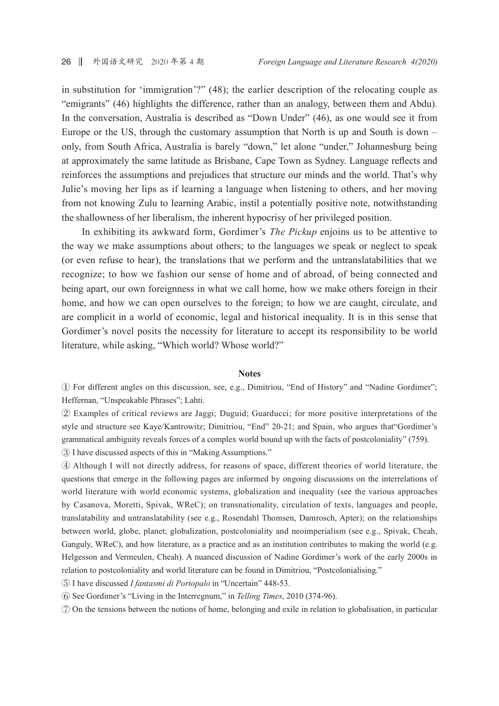in substitution for 'immigration'?" (48); the earlier description of the relocating couple as "emigrants" (46) highlights the difference, rather than an analogy, between them and Abdu). In the conversation, Australia is described as "Down Under" (46), as one would see it from Europe or the US, through the customary assumption that North is up and South is down – only, from South Africa, Australia is barely "down," let alone "under," Johannesburg being at approximately the same latitude as Brisbane, Cape Town as Sydney. Language reflects and reinforces the assumptions and prejudices that structure our minds and the world. That's why Julie's moving her lips as if learning a language when listening to others, and her moving from not knowing Zulu to learning Arabic, instil a potentially positive note, notwithstanding the shallowness of her liberalism, the inherent hypocrisy of her privileged position.

In exhibiting its awkward form, Gordimer's *The Pickup* enjoins us to be attentive to the way we make assumptions about others; to the languages we speak or neglect to speak (or even refuse to hear), the translations that we perform and the untranslatabilities that we recognize; to how we fashion our sense of home and of abroad, of being connected and being apart, our own foreignness in what we call home, how we make others foreign in their home, and how we can open ourselves to the foreign; to how we are caught, circulate, and are complicit in a world of economic, legal and historical inequality. It is in this sense that Gordimer's novel posits the necessity for literature to accept its responsibility to be world literature, while asking, "Which world? Whose world?"

#### **Notes**

1) For different angles on this discussion, see, e.g., Dimitriou, "End of History" and "Nadine Gordimer"; Heffernan, "Unspeakable Phrases"; Lahti.

2) Examples of critical reviews are Jaggi; Duguid; Guarducci; for more positive interpretations of the style and structure see Kaye/Kantrowitz; Dimitriou, "End" 20-21; and Spain, who argues that "Gordimer's grammatical ambiguity reveals forces of a complex world bound up with the facts of postcoloniality" (759). 3) I have discussed aspects of this in "Making Assumptions."

4) Although I will not directly address, for reasons of space, different theories of world literature, the questions that emerge in the following pages are informed by ongoing discussions on the interrelations of world literature with world economic systems, globalization and inequality (see the various approaches by Casanova, Moretti, Spivak, WReC); on transnationality, circulation of texts, languages and people, translatability and untranslatability (see e.g., Rosendahl Thomsen, Damrosch, Apter); on the relationships between world, globe, planet; globalization, postcoloniality and neoimperialism (see e.g., Spivak, Cheah, Ganguly, WReC), and how literature, as a practice and as an institution contributes to making the world (e.g. Helgesson and Vermeulen, Cheah). A nuanced discussion of Nadine Gordimer's work of the early 2000s in relation to postcoloniality and world literature can be found in Dimitriou, "Postcolonialising."

(5) I have discussed *I fantasmi di Portopalo* in "Uncertain" 448-53.

6 See Gordimer's "Living in the Interregnum," in Telling Times, 2010 (374-96).

7 On the tensions between the notions of home, belonging and exile in relation to globalisation, in particular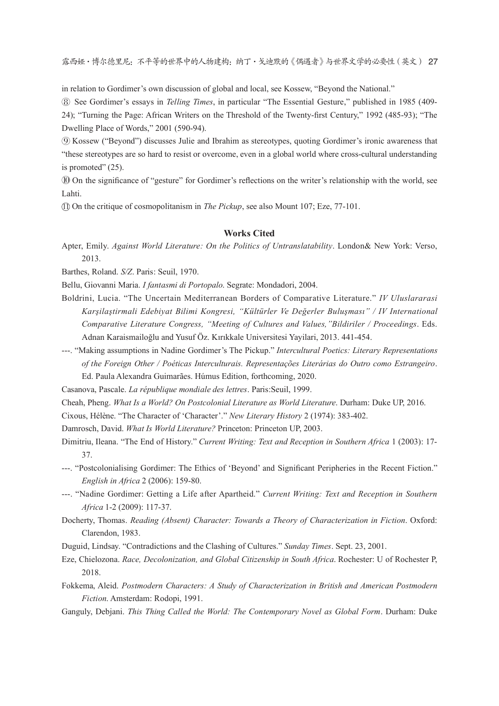露西娅·博尔德里尼: 不平等的世界中的人物建构: 纳丁·戈迪默的《偶遇者》与世界文学的必要性 (英文) 27

in relation to Gordimer's own discussion of global and local, see Kossew, "Beyond the National."

8) See Gordimer's essays in Telling Times, in particular "The Essential Gesture," published in 1985 (409-24); "Turning the Page: African Writers on the Threshold of the Twenty-first Century," 1992 (485-93); "The Dwelling Place of Words," 2001 (590-94).

**9 Kossew ("Beyond") discusses Julie and Ibrahim as stereotypes, quoting Gordimer's ironic awareness that** "these stereotypes are so hard to resist or overcome, even in a global world where cross-cultural understanding is promoted"  $(25)$ .

10 On the significance of "gesture" for Gordimer's reflections on the writer's relationship with the world, see Lahti.

10 On the critique of cosmopolitanism in *The Pickup*, see also Mount 107; Eze, 77-101.

#### **Works Cited**

Apter, Emily. Against World Literature: On the Politics of Untranslatability. London& New York: Verso, 2013.

Barthes, Roland. S/Z. Paris: Seuil, 1970.

Bellu, Giovanni Maria. I fantasmi di Portopalo. Segrate: Mondadori, 2004.

- Boldrini, Lucia. "The Uncertain Mediterranean Borders of Comparative Literature." IV Uluslararasi Karşilaştirmali Edebiyat Bilimi Kongresi, "Kültürler Ve Değerler Buluşması" / IV International Comparative Literature Congress, "Meeting of Cultures and Values, "Bildiriler / Proceedings. Eds. Adnan Karaismailoğlu and Yusuf Öz. Kırıkkale Universitesi Yayılari, 2013. 441-454.
- ---. "Making assumptions in Nadine Gordimer's The Pickup." Intercultural Poetics: Literary Representations of the Foreign Other / Poéticas Interculturais. Representações Literárias do Outro como Estrangeiro. Ed. Paula Alexandra Guimarães. Húmus Edition, forthcoming, 2020.

Casanova, Pascale. La république mondiale des lettres. Paris: Seuil, 1999.

Cheah, Pheng. What Is a World? On Postcolonial Literature as World Literature. Durham: Duke UP, 2016.

Cixous, Hélène. "The Character of 'Character'." New Literary History 2 (1974): 383-402.

Damrosch, David. What Is World Literature? Princeton: Princeton UP, 2003.

- Dimitriu, Ileana. "The End of History." Current Writing: Text and Reception in Southern Africa 1 (2003): 17-37.
- ---. "Postcolonialising Gordimer: The Ethics of 'Beyond' and Significant Peripheries in the Recent Fiction." English in Africa 2 (2006): 159-80.
- ---. "Nadine Gordimer: Getting a Life after Apartheid." Current Writing: Text and Reception in Southern Africa 1-2 (2009): 117-37.
- Docherty, Thomas. Reading (Absent) Character: Towards a Theory of Characterization in Fiction. Oxford: Clarendon, 1983.
- Duguid, Lindsay. "Contradictions and the Clashing of Cultures." Sunday Times. Sept. 23, 2001.
- Eze, Chielozona. Race, Decolonization, and Global Citizenship in South Africa. Rochester: U of Rochester P, 2018.
- Fokkema, Aleid. Postmodern Characters: A Study of Characterization in British and American Postmodern Fiction. Amsterdam: Rodopi, 1991.
- Ganguly, Debjani. This Thing Called the World: The Contemporary Novel as Global Form. Durham: Duke